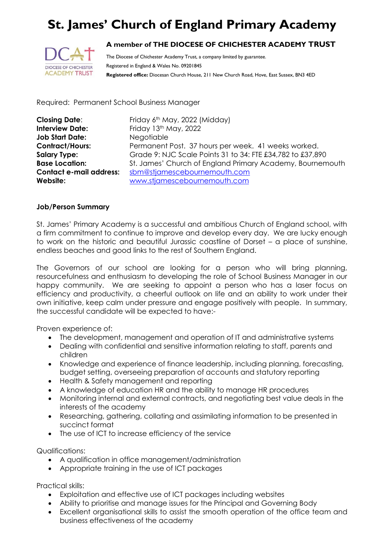## **St. James' Church of England Primary Academy**



## **A member of THE DIOCESE OF CHICHESTER ACADEMY TRUST**

The Diocese of Chichester Academy Trust, a company limited by guarantee. Registered in England & Wales No. 09201845 **Registered office:** Diocesan Church House, 211 New Church Road, Hove, East Sussex, BN3 4ED

Required: Permanent School Business Manager

| <b>Closing Date:</b>           | Friday 6 <sup>th</sup> May, 2022 (Midday)                  |
|--------------------------------|------------------------------------------------------------|
| <b>Interview Date:</b>         | Friday 13 <sup>th</sup> May, 2022                          |
| <b>Job Start Date:</b>         | Negotiable                                                 |
| <b>Contract/Hours:</b>         | Permanent Post. 37 hours per week. 41 weeks worked.        |
| <b>Salary Type:</b>            | Grade 9: NJC Scale Points 31 to 34: FTE £34,782 to £37,890 |
| <b>Base Location:</b>          | St. James' Church of England Primary Academy, Bournemouth  |
| <b>Contact e-mail address:</b> | sbm@stjgmescebournemouth.com                               |
| Website:                       | www.stjamescebournemouth.com                               |

## **Job/Person Summary**

St. James' Primary Academy is a successful and ambitious Church of England school, with a firm commitment to continue to improve and develop every day. We are lucky enough to work on the historic and beautiful Jurassic coastline of Dorset – a place of sunshine, endless beaches and good links to the rest of Southern England.

The Governors of our school are looking for a person who will bring planning, resourcefulness and enthusiasm to developing the role of School Business Manager in our happy community. We are seeking to appoint a person who has a laser focus on efficiency and productivity, a cheerful outlook on life and an ability to work under their own initiative, keep calm under pressure and engage positively with people. In summary, the successful candidate will be expected to have:-

Proven experience of:

- The development, management and operation of IT and administrative systems
- Dealing with confidential and sensitive information relating to staff, parents and children
- Knowledge and experience of finance leadership, including planning, forecasting, budget setting, overseeing preparation of accounts and statutory reporting
- Health & Safety management and reporting
- A knowledge of education HR and the ability to manage HR procedures
- Monitoring internal and external contracts, and negotiating best value deals in the interests of the academy
- Researching, gathering, collating and assimilating information to be presented in succinct format
- The use of ICT to increase efficiency of the service

Qualifications:

- A qualification in office management/administration
- Appropriate training in the use of ICT packages

Practical skills:

- Exploitation and effective use of ICT packages including websites
- Ability to prioritise and manage issues for the Principal and Governing Body
- Excellent organisational skills to assist the smooth operation of the office team and business effectiveness of the academy